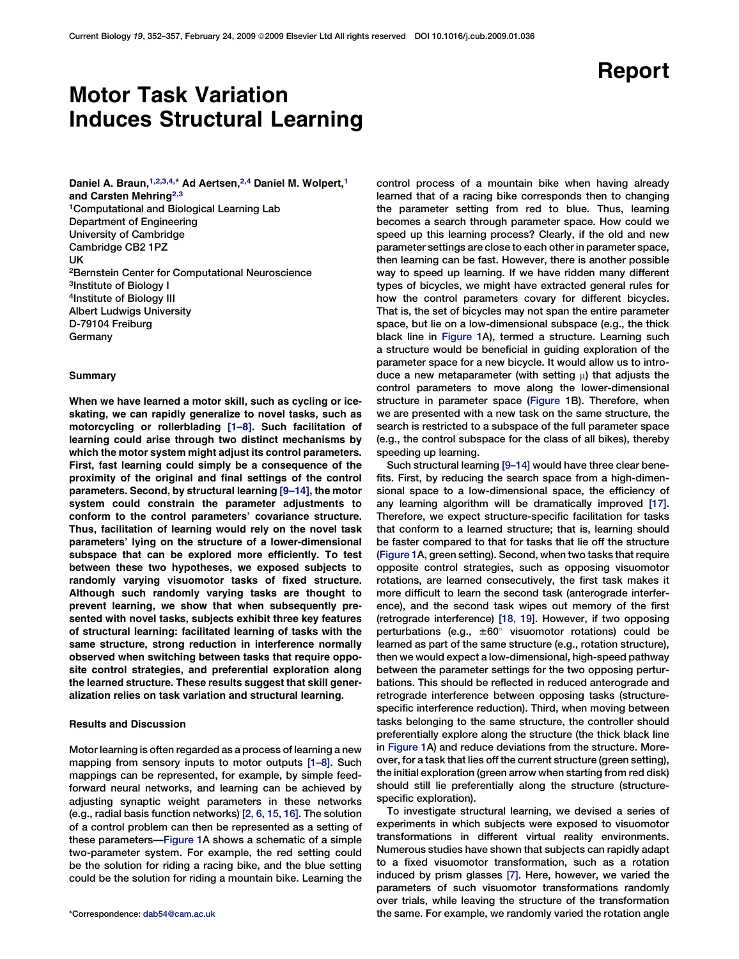# Report

# Motor Task Variation Induces Structural Learning

Daniel A. Braun, [1,2,3,4](#page-0-0),[\\*](#page-0-0) Ad Aertsen, [2,4](#page-0-0) Daniel M. Wolpert, [1](#page-0-0) and Carsten Mehring<sup>[2](#page-0-0),[3](#page-0-0)</sup> 1Computational and Biological Learning Lab Department of Engineering University of Cambridge Cambridge CB2 1PZ UK 2Bernstein Center for Computational Neuroscience 3Institute of Biology I 4Institute of Biology III Albert Ludwigs University D-79104 Freiburg Germany

#### Summary

When we have learned a motor skill, such as cycling or iceskating, we can rapidly generalize to novel tasks, such as motorcycling or rollerblading [\[1–8\].](#page-5-0) Such facilitation of learning could arise through two distinct mechanisms by which the motor system might adjust its control parameters. First, fast learning could simply be a consequence of the proximity of the original and final settings of the control parameters. Second, by structural learning [\[9–14\],](#page-5-0) the motor system could constrain the parameter adjustments to conform to the control parameters' covariance structure. Thus, facilitation of learning would rely on the novel task parameters' lying on the structure of a lower-dimensional subspace that can be explored more efficiently. To test between these two hypotheses, we exposed subjects to randomly varying visuomotor tasks of fixed structure. Although such randomly varying tasks are thought to prevent learning, we show that when subsequently presented with novel tasks, subjects exhibit three key features of structural learning: facilitated learning of tasks with the same structure, strong reduction in interference normally observed when switching between tasks that require opposite control strategies, and preferential exploration along the learned structure. These results suggest that skill generalization relies on task variation and structural learning.

### Results and Discussion

Motor learning is often regarded as a process of learning a new mapping from sensory inputs to motor outputs [1-8]. Such mappings can be represented, for example, by simple feedforward neural networks, and learning can be achieved by adjusting synaptic weight parameters in these networks (e.g., radial basis function networks) [\[2, 6, 15, 16\].](#page-5-0) The solution of a control problem can then be represented as a setting of these parameters—[Figure 1](#page-1-0)A shows a schematic of a simple two-parameter system. For example, the red setting could be the solution for riding a racing bike, and the blue setting could be the solution for riding a mountain bike. Learning the control process of a mountain bike when having already learned that of a racing bike corresponds then to changing the parameter setting from red to blue. Thus, learning becomes a search through parameter space. How could we speed up this learning process? Clearly, if the old and new parameter settings are close to each other in parameter space, then learning can be fast. However, there is another possible way to speed up learning. If we have ridden many different types of bicycles, we might have extracted general rules for how the control parameters covary for different bicycles. That is, the set of bicycles may not span the entire parameter space, but lie on a low-dimensional subspace (e.g., the thick black line in [Figure 1A](#page-1-0)), termed a structure. Learning such a structure would be beneficial in guiding exploration of the parameter space for a new bicycle. It would allow us to introduce a new metaparameter (with setting  $\mu$ ) that adjusts the control parameters to move along the lower-dimensional structure in parameter space ([Figure 1](#page-1-0)B). Therefore, when we are presented with a new task on the same structure, the search is restricted to a subspace of the full parameter space (e.g., the control subspace for the class of all bikes), thereby speeding up learning.

Such structural learning [\[9–14\]](#page-5-0) would have three clear benefits. First, by reducing the search space from a high-dimensional space to a low-dimensional space, the efficiency of any learning algorithm will be dramatically improved [\[17\]](#page-5-0). Therefore, we expect structure-specific facilitation for tasks that conform to a learned structure; that is, learning should be faster compared to that for tasks that lie off the structure ([Figure 1A](#page-1-0), green setting). Second, when two tasks that require opposite control strategies, such as opposing visuomotor rotations, are learned consecutively, the first task makes it more difficult to learn the second task (anterograde interference), and the second task wipes out memory of the first (retrograde interference) [\[18, 19\].](#page-5-0) However, if two opposing perturbations (e.g.,  $\pm 60^\circ$  visuomotor rotations) could be learned as part of the same structure (e.g., rotation structure), then we would expect a low-dimensional, high-speed pathway between the parameter settings for the two opposing perturbations. This should be reflected in reduced anterograde and retrograde interference between opposing tasks (structurespecific interference reduction). Third, when moving between tasks belonging to the same structure, the controller should preferentially explore along the structure (the thick black line in [Figure 1](#page-1-0)A) and reduce deviations from the structure. Moreover, for a task that lies off the current structure (green setting), the initial exploration (green arrow when starting from red disk) should still lie preferentially along the structure (structurespecific exploration).

<span id="page-0-0"></span>To investigate structural learning, we devised a series of experiments in which subjects were exposed to visuomotor transformations in different virtual reality environments. Numerous studies have shown that subjects can rapidly adapt to a fixed visuomotor transformation, such as a rotation induced by prism glasses [\[7\]](#page-5-0). Here, however, we varied the parameters of such visuomotor transformations randomly over trials, while leaving the structure of the transformation \*Correspondence: [dab54@cam.ac.uk](mailto:dab54@cam.ac.uk) the same. For example, we randomly varied the rotation angle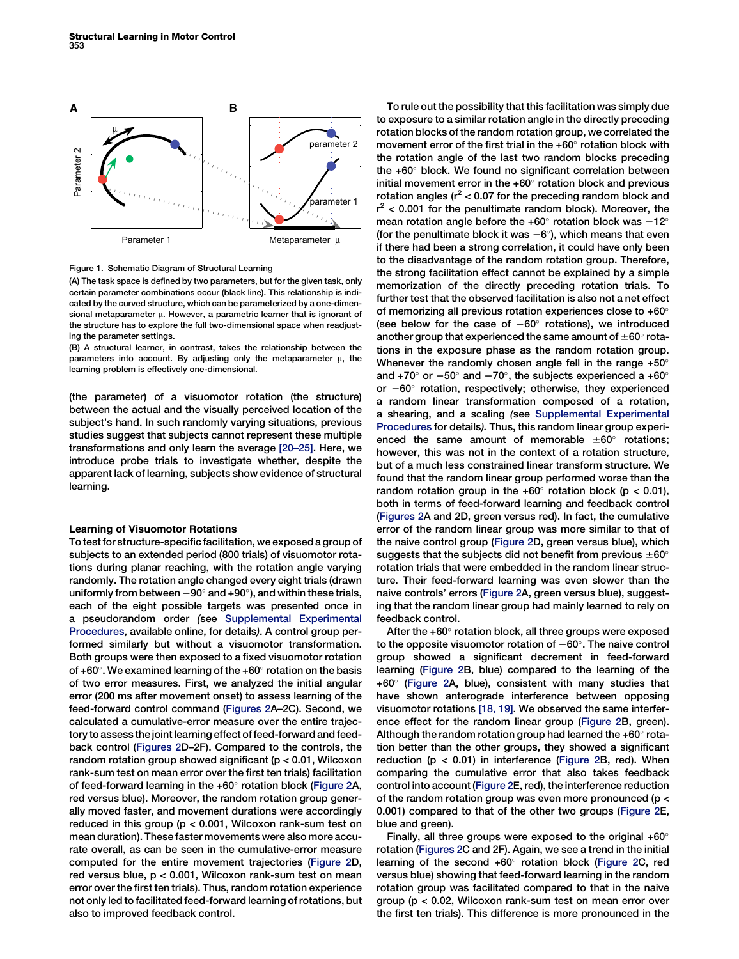

Figure 1. Schematic Diagram of Structural Learning

(A) The task space is defined by two parameters, but for the given task, only certain parameter combinations occur (black line). This relationship is indicated by the curved structure, which can be parameterized by a one-dimensional metaparameter  $\mu$ . However, a parametric learner that is ignorant of the structure has to explore the full two-dimensional space when readjusting the parameter settings.

(B) A structural learner, in contrast, takes the relationship between the parameters into account. By adjusting only the metaparameter  $\mu$ , the learning problem is effectively one-dimensional.

(the parameter) of a visuomotor rotation (the structure) between the actual and the visually perceived location of the subject's hand. In such randomly varying situations, previous studies suggest that subjects cannot represent these multiple transformations and only learn the average [\[20–25\].](#page-5-0) Here, we introduce probe trials to investigate whether, despite the apparent lack of learning, subjects show evidence of structural learning.

## Learning of Visuomotor Rotations

To test for structure-specific facilitation, we exposed a group of subjects to an extended period (800 trials) of visuomotor rotations during planar reaching, with the rotation angle varying randomly. The rotation angle changed every eight trials (drawn uniformly from between  $-90^\circ$  and  $+90^\circ$ ), and within these trials, each of the eight possible targets was presented once in a pseudorandom order (see [Supplemental Experimental](#page-4-0) [Procedures,](#page-4-0) available online, for details). A control group performed similarly but without a visuomotor transformation. Both groups were then exposed to a fixed visuomotor rotation of +60 $^{\circ}$ . We examined learning of the +60 $^{\circ}$  rotation on the basis of two error measures. First, we analyzed the initial angular error (200 ms after movement onset) to assess learning of the feed-forward control command [\(Figures 2A](#page-2-0)–2C). Second, we calculated a cumulative-error measure over the entire trajectory to assess the joint learning effect of feed-forward and feedback control [\(Figures 2D](#page-2-0)–2F). Compared to the controls, the random rotation group showed significant (p < 0.01, Wilcoxon rank-sum test on mean error over the first ten trials) facilitation of feed-forward learning in the +60° rotation block ([Figure 2](#page-2-0)A, red versus blue). Moreover, the random rotation group generally moved faster, and movement durations were accordingly reduced in this group ( $p < 0.001$ , Wilcoxon rank-sum test on mean duration). These faster movements were also more accurate overall, as can be seen in the cumulative-error measure computed for the entire movement trajectories ([Figure 2](#page-2-0)D, red versus blue, p < 0.001, Wilcoxon rank-sum test on mean error over the first ten trials). Thus, random rotation experience not only led to facilitated feed-forward learning of rotations, but also to improved feedback control.

To rule out the possibility that this facilitation was simply due to exposure to a similar rotation angle in the directly preceding rotation blocks of the random rotation group, we correlated the movement error of the first trial in the  $+60^\circ$  rotation block with the rotation angle of the last two random blocks preceding the  $+60^\circ$  block. We found no significant correlation between initial movement error in the  $+60^\circ$  rotation block and previous rotation angles ( $r^2$  < 0.07 for the preceding random block and  $r^2$  < 0.001 for the penultimate random block). Moreover, the mean rotation angle before the  $+60^\circ$  rotation block was  $-12^\circ$ (for the penultimate block it was  $-6^{\circ}$ ), which means that even if there had been a strong correlation, it could have only been to the disadvantage of the random rotation group. Therefore, the strong facilitation effect cannot be explained by a simple memorization of the directly preceding rotation trials. To further test that the observed facilitation is also not a net effect of memorizing all previous rotation experiences close to  $+60^\circ$ (see below for the case of  $-60^\circ$  rotations), we introduced another group that experienced the same amount of  $\pm 60^\circ$  rotations in the exposure phase as the random rotation group. Whenever the randomly chosen angle fell in the range  $+50^\circ$ and +70 $^{\circ}$  or  $-50^{\circ}$  and  $-70^{\circ}$ , the subjects experienced a +60 $^{\circ}$ or  $-60^\circ$  rotation, respectively; otherwise, they experienced a random linear transformation composed of a rotation, a shearing, and a scaling (see [Supplemental Experimental](#page-4-0) [Procedures](#page-4-0) for details). Thus, this random linear group experienced the same amount of memorable  $\pm 60^\circ$  rotations; however, this was not in the context of a rotation structure, but of a much less constrained linear transform structure. We found that the random linear group performed worse than the random rotation group in the  $+60^{\circ}$  rotation block (p < 0.01), both in terms of feed-forward learning and feedback control ([Figures 2A](#page-2-0) and 2D, green versus red). In fact, the cumulative error of the random linear group was more similar to that of the naive control group ([Figure 2](#page-2-0)D, green versus blue), which suggests that the subjects did not benefit from previous  $\pm 60^\circ$ rotation trials that were embedded in the random linear structure. Their feed-forward learning was even slower than the naive controls' errors [\(Figure 2A](#page-2-0), green versus blue), suggesting that the random linear group had mainly learned to rely on feedback control.

After the  $+60^\circ$  rotation block, all three groups were exposed to the opposite visuomotor rotation of  $-60^\circ$ . The naive control group showed a significant decrement in feed-forward learning [\(Figure 2B](#page-2-0), blue) compared to the learning of the  $+60^\circ$  ([Figure 2A](#page-2-0), blue), consistent with many studies that have shown anterograde interference between opposing visuomotor rotations [\[18, 19\]](#page-5-0). We observed the same interference effect for the random linear group [\(Figure 2](#page-2-0)B, green). Although the random rotation group had learned the  $+60^\circ$  rotation better than the other groups, they showed a significant reduction (p < 0.01) in interference ([Figure 2B](#page-2-0), red). When comparing the cumulative error that also takes feedback control into account [\(Figure 2](#page-2-0)E, red), the interference reduction of the random rotation group was even more pronounced (p < 0.001) compared to that of the other two groups [\(Figure 2E](#page-2-0), blue and green).

<span id="page-1-0"></span>Finally, all three groups were exposed to the original  $+60^\circ$ rotation [\(Figures 2C](#page-2-0) and 2F). Again, we see a trend in the initial learning of the second  $+60^\circ$  rotation block ([Figure 2](#page-2-0)C, red versus blue) showing that feed-forward learning in the random rotation group was facilitated compared to that in the naive group (p < 0.02, Wilcoxon rank-sum test on mean error over the first ten trials). This difference is more pronounced in the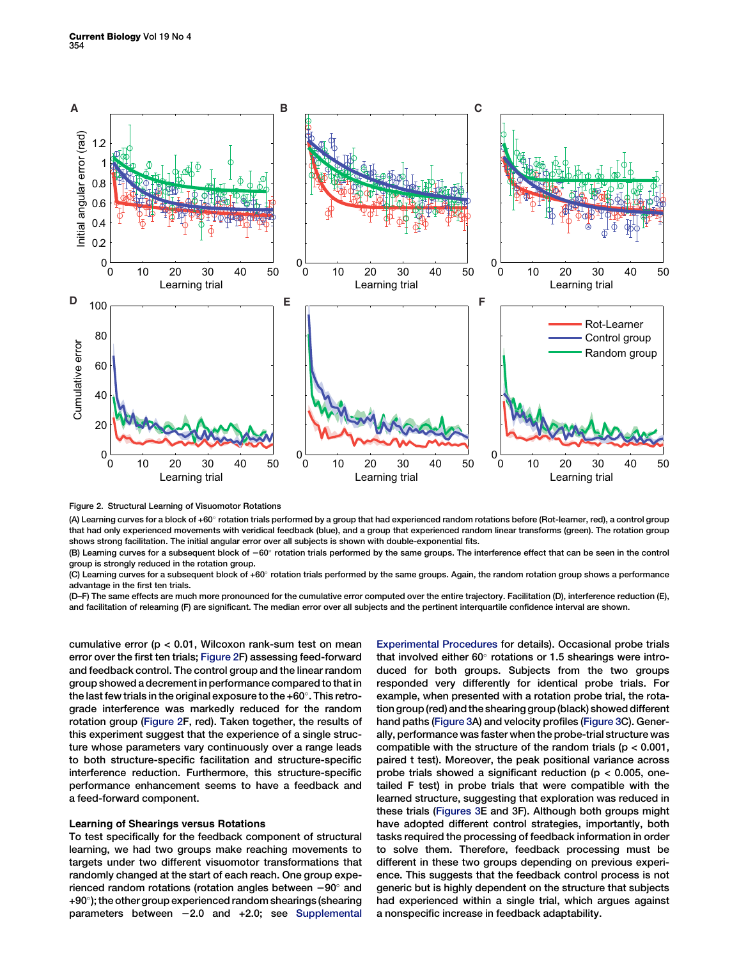

Figure 2. Structural Learning of Visuomotor Rotations

(A) Learning curves for a block of +60 $^{\circ}$  rotation trials performed by a group that had experienced random rotations before (Rot-learner, red), a control group that had only experienced movements with veridical feedback (blue), and a group that experienced random linear transforms (green). The rotation group shows strong facilitation. The initial angular error over all subjects is shown with double-exponential fits.

(B) Learning curves for a subsequent block of  $-60^\circ$  rotation trials performed by the same groups. The interference effect that can be seen in the control group is strongly reduced in the rotation group.

(C) Learning curves for a subsequent block of +60° rotation trials performed by the same groups. Again, the random rotation group shows a performance advantage in the first ten trials.

(D–F) The same effects are much more pronounced for the cumulative error computed over the entire trajectory. Facilitation (D), interference reduction (E), and facilitation of relearning (F) are significant. The median error over all subjects and the pertinent interquartile confidence interval are shown.

cumulative error (p < 0.01, Wilcoxon rank-sum test on mean error over the first ten trials; [Figure 2F](#page-2-0)) assessing feed-forward and feedback control. The control group and the linear random group showed a decrement in performance compared to that in the last few trials in the original exposure to the  $+60^\circ$ . This retrograde interference was markedly reduced for the random rotation group [\(Figure 2](#page-2-0)F, red). Taken together, the results of this experiment suggest that the experience of a single structure whose parameters vary continuously over a range leads to both structure-specific facilitation and structure-specific interference reduction. Furthermore, this structure-specific performance enhancement seems to have a feedback and a feed-forward component.

## Learning of Shearings versus Rotations

<span id="page-2-0"></span>To test specifically for the feedback component of structural learning, we had two groups make reaching movements to targets under two different visuomotor transformations that randomly changed at the start of each reach. One group experienced random rotations (rotation angles between  $-90^\circ$  and  $+90^\circ$ ); the other group experienced random shearings (shearing parameters between  $-2.0$  and  $+2.0$ ; see [Supplemental](#page-4-0)

[Experimental Procedures](#page-4-0) for details). Occasional probe trials that involved either  $60^\circ$  rotations or 1.5 shearings were introduced for both groups. Subjects from the two groups responded very differently for identical probe trials. For example, when presented with a rotation probe trial, the rotation group (red) and the shearing group (black) showed different hand paths ([Figure 3A](#page-3-0)) and velocity profiles [\(Figure 3](#page-3-0)C). Generally, performance was faster when the probe-trial structure was compatible with the structure of the random trials ( $p < 0.001$ , paired t test). Moreover, the peak positional variance across probe trials showed a significant reduction ( $p < 0.005$ , onetailed F test) in probe trials that were compatible with the learned structure, suggesting that exploration was reduced in these trials ([Figures 3](#page-3-0)E and 3F). Although both groups might have adopted different control strategies, importantly, both tasks required the processing of feedback information in order to solve them. Therefore, feedback processing must be different in these two groups depending on previous experience. This suggests that the feedback control process is not generic but is highly dependent on the structure that subjects had experienced within a single trial, which argues against a nonspecific increase in feedback adaptability.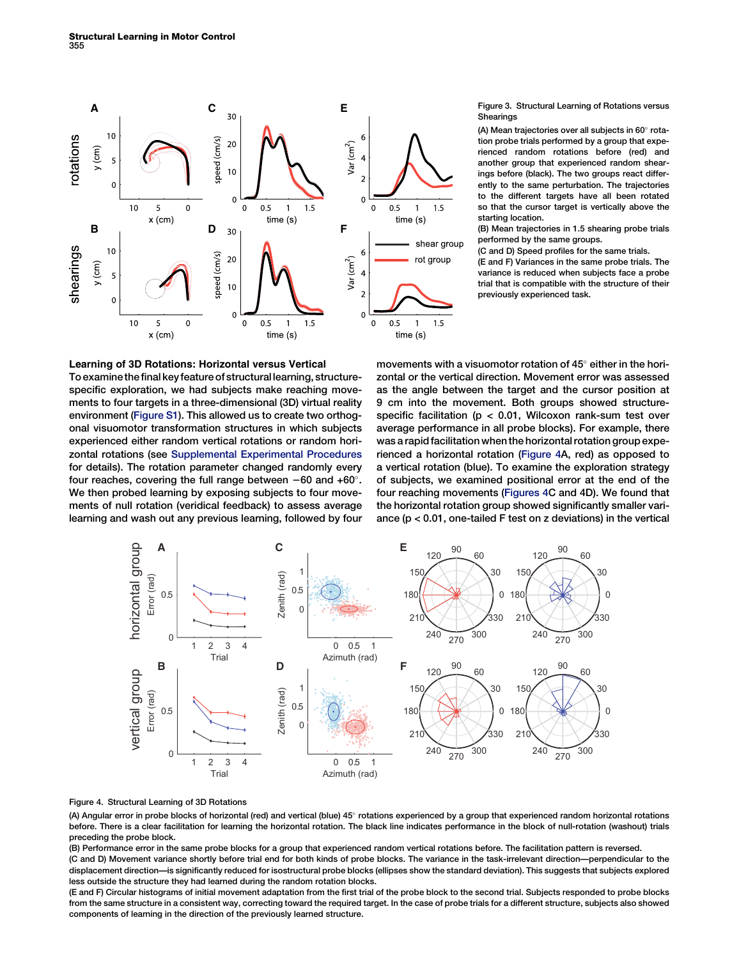

## Learning of 3D Rotations: Horizontal versus Vertical

To examine the final key feature of structural learning, structurespecific exploration, we had subjects make reaching movements to four targets in a three-dimensional (3D) virtual reality environment [\(Figure S1\)](#page-4-0). This allowed us to create two orthogonal visuomotor transformation structures in which subjects experienced either random vertical rotations or random horizontal rotations (see [Supplemental Experimental Procedures](#page-4-0) for details). The rotation parameter changed randomly every four reaches, covering the full range between  $-60$  and  $+60^\circ$ . We then probed learning by exposing subjects to four movements of null rotation (veridical feedback) to assess average learning and wash out any previous learning, followed by four Figure 3. Structural Learning of Rotations versus **Shearings** 

(A) Mean trajectories over all subjects in  $60^\circ$  rotation probe trials performed by a group that experienced random rotations before (red) and another group that experienced random shearings before (black). The two groups react differently to the same perturbation. The trajectories to the different targets have all been rotated so that the cursor target is vertically above the starting location.

(B) Mean trajectories in 1.5 shearing probe trials performed by the same groups.

(C and D) Speed profiles for the same trials.

(E and F) Variances in the same probe trials. The variance is reduced when subjects face a probe trial that is compatible with the structure of their previously experienced task.

movements with a visuomotor rotation of  $45^\circ$  either in the horizontal or the vertical direction. Movement error was assessed as the angle between the target and the cursor position at 9 cm into the movement. Both groups showed structurespecific facilitation ( $p < 0.01$ , Wilcoxon rank-sum test over average performance in all probe blocks). For example, there was a rapid facilitation when the horizontal rotation group experienced a horizontal rotation ([Figure 4](#page-3-0)A, red) as opposed to a vertical rotation (blue). To examine the exploration strategy of subjects, we examined positional error at the end of the four reaching movements ([Figures 4C](#page-3-0) and 4D). We found that the horizontal rotation group showed significantly smaller variance  $(p < 0.01$ , one-tailed F test on z deviations) in the vertical



### Figure 4. Structural Learning of 3D Rotations

(A) Angular error in probe blocks of horizontal (red) and vertical (blue) 45° rotations experienced by a group that experienced random horizontal rotations before. There is a clear facilitation for learning the horizontal rotation. The black line indicates performance in the block of null-rotation (washout) trials preceding the probe block.

(B) Performance error in the same probe blocks for a group that experienced random vertical rotations before. The facilitation pattern is reversed. (C and D) Movement variance shortly before trial end for both kinds of probe blocks. The variance in the task-irrelevant direction—perpendicular to the displacement direction—is significantly reduced for isostructural probe blocks (ellipses show the standard deviation). This suggests that subjects explored less outside the structure they had learned during the random rotation blocks.

<span id="page-3-0"></span>(E and F) Circular histograms of initial movement adaptation from the first trial of the probe block to the second trial. Subjects responded to probe blocks from the same structure in a consistent way, correcting toward the required target. In the case of probe trials for a different structure, subjects also showed components of learning in the direction of the previously learned structure.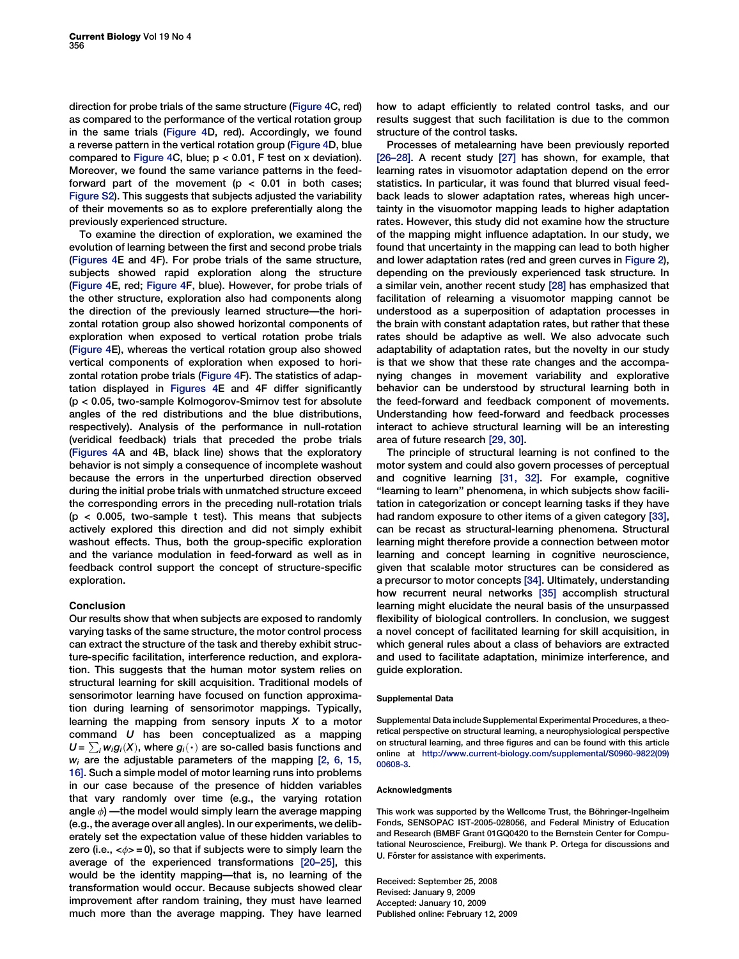direction for probe trials of the same structure [\(Figure 4C](#page-3-0), red) as compared to the performance of the vertical rotation group in the same trials ([Figure 4](#page-3-0)D, red). Accordingly, we found a reverse pattern in the vertical rotation group [\(Figure 4](#page-3-0)D, blue compared to [Figure 4C](#page-3-0), blue;  $p < 0.01$ , F test on x deviation). Moreover, we found the same variance patterns in the feedforward part of the movement  $(p < 0.01$  in both cases; [Figure S2](#page-4-0)). This suggests that subjects adjusted the variability of their movements so as to explore preferentially along the previously experienced structure.

To examine the direction of exploration, we examined the evolution of learning between the first and second probe trials ([Figures 4E](#page-3-0) and 4F). For probe trials of the same structure, subjects showed rapid exploration along the structure ([Figure 4](#page-3-0)E, red; [Figure 4F](#page-3-0), blue). However, for probe trials of the other structure, exploration also had components along the direction of the previously learned structure—the horizontal rotation group also showed horizontal components of exploration when exposed to vertical rotation probe trials ([Figure 4](#page-3-0)E), whereas the vertical rotation group also showed vertical components of exploration when exposed to horizontal rotation probe trials [\(Figure 4F](#page-3-0)). The statistics of adaptation displayed in [Figures 4](#page-3-0)E and 4F differ significantly (p < 0.05, two-sample Kolmogorov-Smirnov test for absolute angles of the red distributions and the blue distributions, respectively). Analysis of the performance in null-rotation (veridical feedback) trials that preceded the probe trials ([Figures 4](#page-3-0)A and 4B, black line) shows that the exploratory behavior is not simply a consequence of incomplete washout because the errors in the unperturbed direction observed during the initial probe trials with unmatched structure exceed the corresponding errors in the preceding null-rotation trials  $(p < 0.005$ , two-sample t test). This means that subjects actively explored this direction and did not simply exhibit washout effects. Thus, both the group-specific exploration and the variance modulation in feed-forward as well as in feedback control support the concept of structure-specific exploration.

## Conclusion

<span id="page-4-0"></span>Our results show that when subjects are exposed to randomly varying tasks of the same structure, the motor control process can extract the structure of the task and thereby exhibit structure-specific facilitation, interference reduction, and exploration. This suggests that the human motor system relies on structural learning for skill acquisition. Traditional models of sensorimotor learning have focused on function approximation during learning of sensorimotor mappings. Typically, learning the mapping from sensory inputs  $X$  to a motor command U has been conceptualized as a mapping  $U = \sum_i w_i g_i(X)$ , where  $g_i(\cdot)$  are so-called basis functions and  $w_i$  are the adjustable parameters of the mapping [\[2, 6, 15,](#page-5-0) [16\]](#page-5-0). Such a simple model of motor learning runs into problems in our case because of the presence of hidden variables that vary randomly over time (e.g., the varying rotation angle  $\phi$ ) —the model would simply learn the average mapping (e.g., the average over all angles). In our experiments, we deliberately set the expectation value of these hidden variables to zero (i.e.,  $\langle \phi \rangle = 0$ ), so that if subjects were to simply learn the average of the experienced transformations [\[20–25\]](#page-5-0), this would be the identity mapping—that is, no learning of the transformation would occur. Because subjects showed clear improvement after random training, they must have learned much more than the average mapping. They have learned how to adapt efficiently to related control tasks, and our results suggest that such facilitation is due to the common structure of the control tasks.

Processes of metalearning have been previously reported [\[26–28\]](#page-5-0). A recent study [\[27\]](#page-5-0) has shown, for example, that learning rates in visuomotor adaptation depend on the error statistics. In particular, it was found that blurred visual feedback leads to slower adaptation rates, whereas high uncertainty in the visuomotor mapping leads to higher adaptation rates. However, this study did not examine how the structure of the mapping might influence adaptation. In our study, we found that uncertainty in the mapping can lead to both higher and lower adaptation rates (red and green curves in [Figure 2\)](#page-2-0), depending on the previously experienced task structure. In a similar vein, another recent study [\[28\]](#page-5-0) has emphasized that facilitation of relearning a visuomotor mapping cannot be understood as a superposition of adaptation processes in the brain with constant adaptation rates, but rather that these rates should be adaptive as well. We also advocate such adaptability of adaptation rates, but the novelty in our study is that we show that these rate changes and the accompanying changes in movement variability and explorative behavior can be understood by structural learning both in the feed-forward and feedback component of movements. Understanding how feed-forward and feedback processes interact to achieve structural learning will be an interesting area of future research [\[29, 30\].](#page-5-0)

The principle of structural learning is not confined to the motor system and could also govern processes of perceptual and cognitive learning [\[31, 32\].](#page-5-0) For example, cognitive ''learning to learn'' phenomena, in which subjects show facilitation in categorization or concept learning tasks if they have had random exposure to other items of a given category [\[33\]](#page-5-0), can be recast as structural-learning phenomena. Structural learning might therefore provide a connection between motor learning and concept learning in cognitive neuroscience, given that scalable motor structures can be considered as a precursor to motor concepts [\[34\]](#page-5-0). Ultimately, understanding how recurrent neural networks [\[35\]](#page-5-0) accomplish structural learning might elucidate the neural basis of the unsurpassed flexibility of biological controllers. In conclusion, we suggest a novel concept of facilitated learning for skill acquisition, in which general rules about a class of behaviors are extracted and used to facilitate adaptation, minimize interference, and guide exploration.

## Supplemental Data

Supplemental Data include Supplemental Experimental Procedures, a theoretical perspective on structural learning, a neurophysiological perspective on structural learning, and three figures and can be found with this article online at [http://www.current-biology.com/supplemental/S0960-9822\(09\)](http://www.current-biology.com/supplemental/S0960-9822(09)00608-3) [00608-3](http://www.current-biology.com/supplemental/S0960-9822(09)00608-3).

#### Acknowledgments

This work was supported by the Wellcome Trust, the Böhringer-Ingelheim Fonds, SENSOPAC IST-2005-028056, and Federal Ministry of Education and Research (BMBF Grant 01GQ0420 to the Bernstein Center for Computational Neuroscience, Freiburg). We thank P. Ortega for discussions and U. Förster for assistance with experiments.

Received: September 25, 2008 Revised: January 9, 2009 Accepted: January 10, 2009 Published online: February 12, 2009